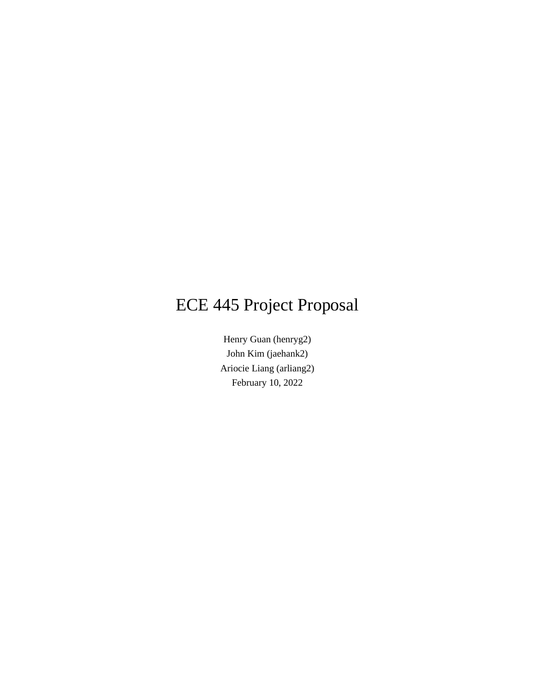# ECE 445 Project Proposal

Henry Guan (henryg2) John Kim (jaehank2) Ariocie Liang (arliang2) February 10, 2022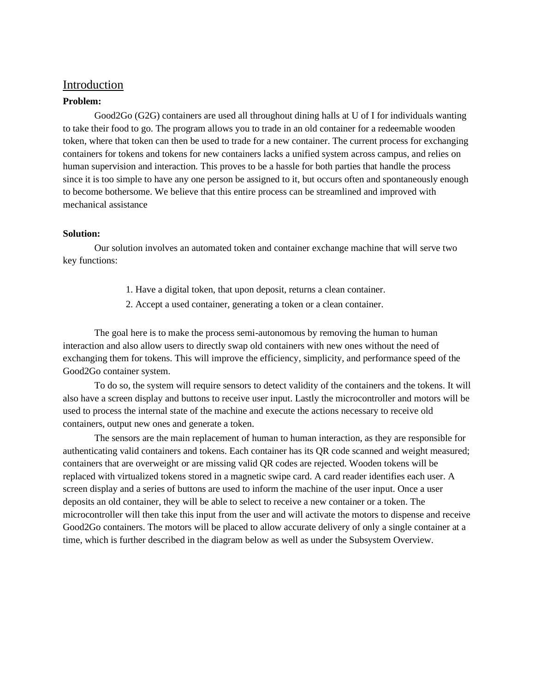#### Introduction

#### **Problem:**

Good2Go (G2G) containers are used all throughout dining halls at U of I for individuals wanting to take their food to go. The program allows you to trade in an old container for a redeemable wooden token, where that token can then be used to trade for a new container. The current process for exchanging containers for tokens and tokens for new containers lacks a unified system across campus, and relies on human supervision and interaction. This proves to be a hassle for both parties that handle the process since it is too simple to have any one person be assigned to it, but occurs often and spontaneously enough to become bothersome. We believe that this entire process can be streamlined and improved with mechanical assistance

#### **Solution:**

Our solution involves an automated token and container exchange machine that will serve two key functions:

- 1. Have a digital token, that upon deposit, returns a clean container.
- 2. Accept a used container, generating a token or a clean container.

The goal here is to make the process semi-autonomous by removing the human to human interaction and also allow users to directly swap old containers with new ones without the need of exchanging them for tokens. This will improve the efficiency, simplicity, and performance speed of the Good2Go container system.

To do so, the system will require sensors to detect validity of the containers and the tokens. It will also have a screen display and buttons to receive user input. Lastly the microcontroller and motors will be used to process the internal state of the machine and execute the actions necessary to receive old containers, output new ones and generate a token.

The sensors are the main replacement of human to human interaction, as they are responsible for authenticating valid containers and tokens. Each container has its QR code scanned and weight measured; containers that are overweight or are missing valid QR codes are rejected. Wooden tokens will be replaced with virtualized tokens stored in a magnetic swipe card. A card reader identifies each user. A screen display and a series of buttons are used to inform the machine of the user input. Once a user deposits an old container, they will be able to select to receive a new container or a token. The microcontroller will then take this input from the user and will activate the motors to dispense and receive Good2Go containers. The motors will be placed to allow accurate delivery of only a single container at a time, which is further described in the diagram below as well as under the Subsystem Overview.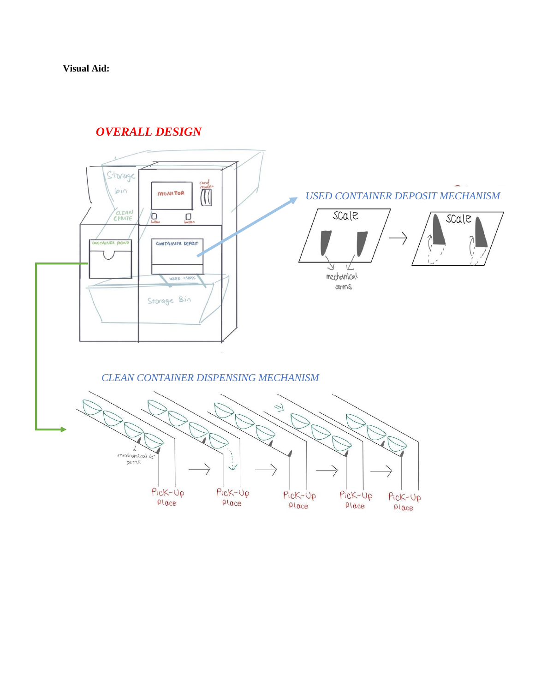**Visual Aid:**

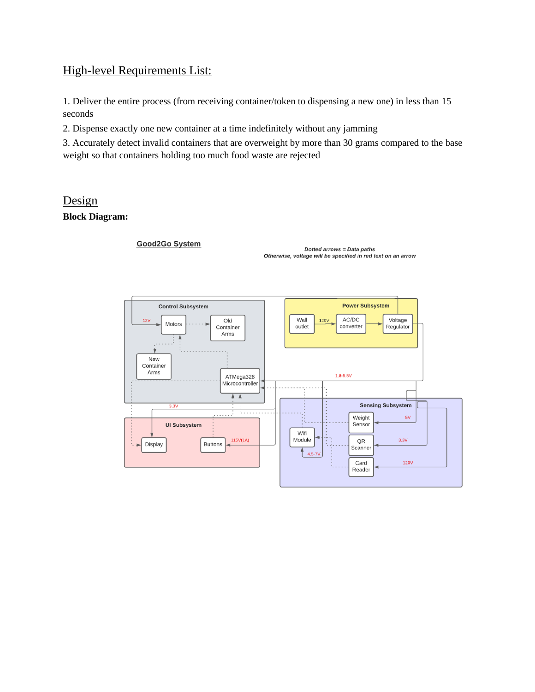## High-level Requirements List:

1. Deliver the entire process (from receiving container/token to dispensing a new one) in less than 15 seconds

2. Dispense exactly one new container at a time indefinitely without any jamming

3. Accurately detect invalid containers that are overweight by more than 30 grams compared to the base weight so that containers holding too much food waste are rejected

## Design

#### **Block Diagram:**

#### **Good2Go System**

Dotted arrows = Data paths Otherwise, voltage will be specified in red text on an arrow

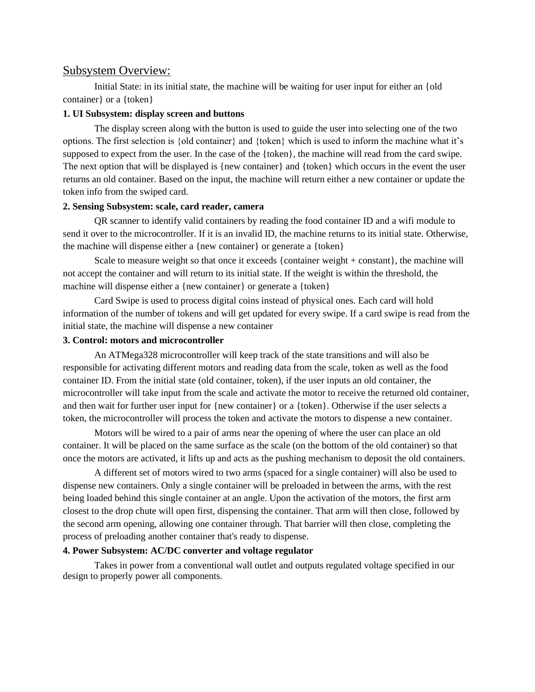#### Subsystem Overview:

Initial State: in its initial state, the machine will be waiting for user input for either an {old container} or a {token}

#### **1. UI Subsystem: display screen and buttons**

The display screen along with the button is used to guide the user into selecting one of the two options. The first selection is {old container} and {token} which is used to inform the machine what it's supposed to expect from the user. In the case of the {token}, the machine will read from the card swipe. The next option that will be displayed is {new container} and {token} which occurs in the event the user returns an old container. Based on the input, the machine will return either a new container or update the token info from the swiped card.

#### **2. Sensing Subsystem: scale, card reader, camera**

QR scanner to identify valid containers by reading the food container ID and a wifi module to send it over to the microcontroller. If it is an invalid ID, the machine returns to its initial state. Otherwise, the machine will dispense either a {new container} or generate a {token}

Scale to measure weight so that once it exceeds {container weight + constant}, the machine will not accept the container and will return to its initial state. If the weight is within the threshold, the machine will dispense either a {new container} or generate a {token}

Card Swipe is used to process digital coins instead of physical ones. Each card will hold information of the number of tokens and will get updated for every swipe. If a card swipe is read from the initial state, the machine will dispense a new container

#### **3. Control: motors and microcontroller**

An ATMega328 microcontroller will keep track of the state transitions and will also be responsible for activating different motors and reading data from the scale, token as well as the food container ID. From the initial state (old container, token), if the user inputs an old container, the microcontroller will take input from the scale and activate the motor to receive the returned old container, and then wait for further user input for {new container} or a {token}. Otherwise if the user selects a token, the microcontroller will process the token and activate the motors to dispense a new container.

Motors will be wired to a pair of arms near the opening of where the user can place an old container. It will be placed on the same surface as the scale (on the bottom of the old container) so that once the motors are activated, it lifts up and acts as the pushing mechanism to deposit the old containers.

A different set of motors wired to two arms (spaced for a single container) will also be used to dispense new containers. Only a single container will be preloaded in between the arms, with the rest being loaded behind this single container at an angle. Upon the activation of the motors, the first arm closest to the drop chute will open first, dispensing the container. That arm will then close, followed by the second arm opening, allowing one container through. That barrier will then close, completing the process of preloading another container that's ready to dispense.

#### **4. Power Subsystem: AC/DC converter and voltage regulator**

Takes in power from a conventional wall outlet and outputs regulated voltage specified in our design to properly power all components.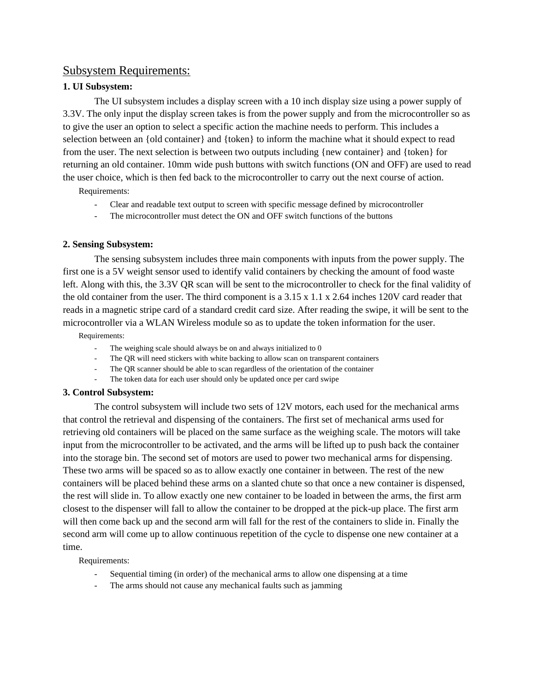#### Subsystem Requirements:

#### **1. UI Subsystem:**

The UI subsystem includes a display screen with a 10 inch display size using a power supply of 3.3V. The only input the display screen takes is from the power supply and from the microcontroller so as to give the user an option to select a specific action the machine needs to perform. This includes a selection between an {old container} and {token} to inform the machine what it should expect to read from the user. The next selection is between two outputs including {new container} and {token} for returning an old container. 10mm wide push buttons with switch functions (ON and OFF) are used to read the user choice, which is then fed back to the microcontroller to carry out the next course of action.

Requirements:

- Clear and readable text output to screen with specific message defined by microcontroller
- The microcontroller must detect the ON and OFF switch functions of the buttons

#### **2. Sensing Subsystem:**

The sensing subsystem includes three main components with inputs from the power supply. The first one is a 5V weight sensor used to identify valid containers by checking the amount of food waste left. Along with this, the 3.3V QR scan will be sent to the microcontroller to check for the final validity of the old container from the user. The third component is a 3.15 x 1.1 x 2.64 inches 120V card reader that reads in a magnetic stripe card of a standard credit card size. After reading the swipe, it will be sent to the microcontroller via a WLAN Wireless module so as to update the token information for the user.

Requirements:

- The weighing scale should always be on and always initialized to 0
- The QR will need stickers with white backing to allow scan on transparent containers
- The QR scanner should be able to scan regardless of the orientation of the container
- The token data for each user should only be updated once per card swipe

#### **3. Control Subsystem:**

The control subsystem will include two sets of 12V motors, each used for the mechanical arms that control the retrieval and dispensing of the containers. The first set of mechanical arms used for retrieving old containers will be placed on the same surface as the weighing scale. The motors will take input from the microcontroller to be activated, and the arms will be lifted up to push back the container into the storage bin. The second set of motors are used to power two mechanical arms for dispensing. These two arms will be spaced so as to allow exactly one container in between. The rest of the new containers will be placed behind these arms on a slanted chute so that once a new container is dispensed, the rest will slide in. To allow exactly one new container to be loaded in between the arms, the first arm closest to the dispenser will fall to allow the container to be dropped at the pick-up place. The first arm will then come back up and the second arm will fall for the rest of the containers to slide in. Finally the second arm will come up to allow continuous repetition of the cycle to dispense one new container at a time.

Requirements:

- Sequential timing (in order) of the mechanical arms to allow one dispensing at a time
- The arms should not cause any mechanical faults such as jamming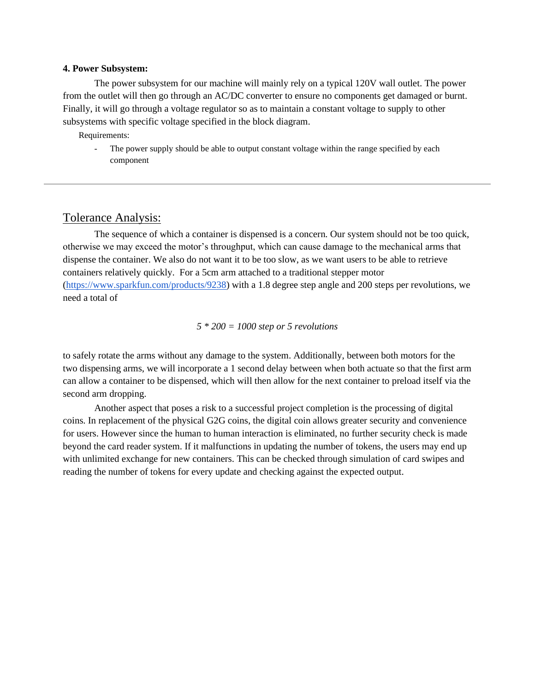#### **4. Power Subsystem:**

The power subsystem for our machine will mainly rely on a typical 120V wall outlet. The power from the outlet will then go through an AC/DC converter to ensure no components get damaged or burnt. Finally, it will go through a voltage regulator so as to maintain a constant voltage to supply to other subsystems with specific voltage specified in the block diagram.

Requirements:

The power supply should be able to output constant voltage within the range specified by each component

### Tolerance Analysis:

The sequence of which a container is dispensed is a concern. Our system should not be too quick, otherwise we may exceed the motor's throughput, which can cause damage to the mechanical arms that dispense the container. We also do not want it to be too slow, as we want users to be able to retrieve containers relatively quickly. For a 5cm arm attached to a traditional stepper motor [\(https://www.sparkfun.com/products/9238\)](https://www.sparkfun.com/products/9238) with a 1.8 degree step angle and 200 steps per revolutions, we need a total of

#### *5 \* 200 = 1000 step or 5 revolutions*

to safely rotate the arms without any damage to the system. Additionally, between both motors for the two dispensing arms, we will incorporate a 1 second delay between when both actuate so that the first arm can allow a container to be dispensed, which will then allow for the next container to preload itself via the second arm dropping.

Another aspect that poses a risk to a successful project completion is the processing of digital coins. In replacement of the physical G2G coins, the digital coin allows greater security and convenience for users. However since the human to human interaction is eliminated, no further security check is made beyond the card reader system. If it malfunctions in updating the number of tokens, the users may end up with unlimited exchange for new containers. This can be checked through simulation of card swipes and reading the number of tokens for every update and checking against the expected output.